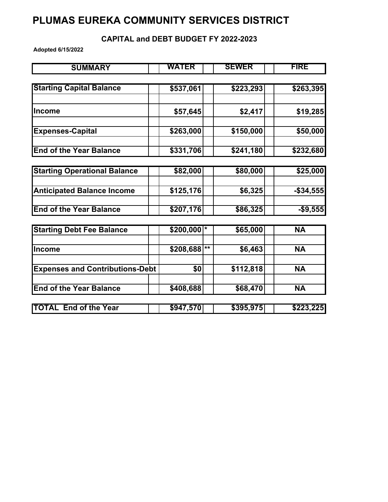## **PLUMAS EUREKA COMMUNITY SERVICES DISTRICT**

## **CAPITAL and DEBT BUDGET FY 2022-2023**

**Adopted 6/15/2022**

| <b>SUMMARY</b>                         | WATER                 |       | <b>SEWER</b> | <b>FIRE</b> |
|----------------------------------------|-----------------------|-------|--------------|-------------|
|                                        |                       |       |              |             |
| <b>Starting Capital Balance</b>        | \$537,061             |       | \$223,293    | \$263,395   |
| <b>Income</b>                          | \$57,645              |       | \$2,417      | \$19,285    |
| <b>Expenses-Capital</b>                | \$263,000             |       | \$150,000    | \$50,000    |
| <b>End of the Year Balance</b>         | $\overline{$}331,706$ |       | \$241,180    | \$232,680   |
| <b>Starting Operational Balance</b>    | \$82,000              |       | \$80,000     | \$25,000    |
| <b>Anticipated Balance Income</b>      | \$125,176             |       | \$6,325      | $-$34,555$  |
| <b>End of the Year Balance</b>         | \$207,176             |       | \$86,325     | $-$9,555$   |
| <b>Starting Debt Fee Balance</b>       | \$200,000             | *     | \$65,000     | <b>NA</b>   |
| <b>Income</b>                          | \$208,688             | $***$ | \$6,463      | <b>NA</b>   |
| <b>Expenses and Contributions-Debt</b> | \$0                   |       | \$112,818    | <b>NA</b>   |
| <b>End of the Year Balance</b>         | \$408,688             |       | \$68,470     | <b>NA</b>   |
| <b>TOTAL End of the Year</b>           | \$947,570             |       | \$395,975    | \$223,225   |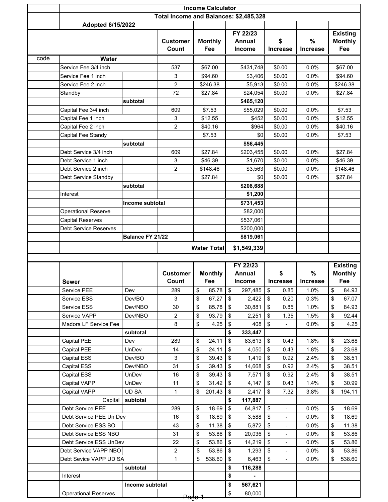|      | <b>Income Calculator</b>                        |                 |                      |                                        |                    |          |                   |                         |                                  |                 |          |                                   |
|------|-------------------------------------------------|-----------------|----------------------|----------------------------------------|--------------------|----------|-------------------|-------------------------|----------------------------------|-----------------|----------|-----------------------------------|
|      |                                                 |                 |                      | Total Income and Balances: \$2,485,328 |                    |          |                   |                         |                                  |                 |          |                                   |
|      | <b>Adopted 6/15/2022</b>                        |                 |                      |                                        |                    |          |                   |                         |                                  |                 |          |                                   |
|      |                                                 |                 |                      |                                        |                    |          | FY 22/23          |                         |                                  |                 |          | <b>Existing</b>                   |
|      |                                                 |                 | <b>Customer</b>      |                                        | <b>Monthly</b>     |          | <b>Annual</b>     |                         | \$                               | %               |          | <b>Monthly</b>                    |
|      |                                                 |                 | Count                |                                        | Fee                |          | <b>Income</b>     |                         | <b>Increase</b>                  | <b>Increase</b> |          | Fee                               |
| code | <b>Water</b>                                    |                 |                      |                                        |                    |          |                   |                         |                                  |                 |          |                                   |
|      | Service Fee 3/4 inch                            |                 | 537                  |                                        | \$67.00            |          | \$431,748         |                         | \$0.00                           | 0.0%            |          | \$67.00                           |
|      | Service Fee 1 inch                              |                 | 3                    |                                        | \$94.60            |          | \$3,406           |                         | \$0.00                           | 0.0%            |          | \$94.60                           |
|      | Service Fee 2 inch                              |                 | 2                    |                                        | \$246.38           |          | \$5,913           |                         | \$0.00                           | 0.0%            |          | \$246.38                          |
|      | Standby                                         |                 | 72                   |                                        | \$27.84            |          | \$24,054          |                         | \$0.00                           | 0.0%            |          | \$27.84                           |
|      |                                                 | subtotal        | 609                  |                                        |                    |          | \$465,120         |                         |                                  | 0.0%            |          |                                   |
|      | Capital Fee 3/4 inch                            |                 | 3                    |                                        | \$7.53<br>\$12.55  |          | \$55,029<br>\$452 |                         | \$0.00<br>\$0.00                 | 0.0%            |          | \$7.53<br>\$12.55                 |
|      | Capital Fee 1 inch<br>Capital Fee 2 inch        |                 | 2                    |                                        | \$40.16            |          | \$964             |                         | \$0.00                           | 0.0%            |          | \$40.16                           |
|      | Capital Fee Standy                              |                 |                      |                                        | \$7.53             |          | \$0               |                         | \$0.00                           | 0.0%            |          | \$7.53                            |
|      |                                                 | subtotal        |                      |                                        |                    |          | \$56,445          |                         |                                  |                 |          |                                   |
|      | Debt Service 3/4 inch                           |                 | 609                  |                                        | \$27.84            |          | \$203,455         |                         | \$0.00                           | 0.0%            |          | \$27.84                           |
|      | Debt Service 1 inch                             |                 | 3                    |                                        | \$46.39            |          | \$1,670           |                         | \$0.00                           | 0.0%            |          | \$46.39                           |
|      | Debt Service 2 inch                             |                 | 2                    |                                        | \$148.46           |          | \$3,563           |                         | \$0.00                           | 0.0%            |          | \$148.46                          |
|      | Debt Service Standby                            |                 |                      |                                        | \$27.84            |          | \$0               |                         | \$0.00                           | 0.0%            |          | \$27.84                           |
|      |                                                 | subtotal        |                      |                                        |                    |          | \$208,688         |                         |                                  |                 |          |                                   |
|      | Interest                                        |                 |                      |                                        |                    |          | \$1,200           |                         |                                  |                 |          |                                   |
|      |                                                 | Income subtotal |                      |                                        |                    |          | \$731,453         |                         |                                  |                 |          |                                   |
|      | <b>Operational Reserve</b>                      |                 |                      |                                        |                    |          | \$82,000          |                         |                                  |                 |          |                                   |
|      | <b>Capital Reserves</b>                         |                 |                      |                                        |                    |          | \$537,061         |                         |                                  |                 |          |                                   |
|      | <b>Debt Service Reserves</b>                    |                 |                      |                                        |                    |          | \$200,000         |                         |                                  |                 |          |                                   |
|      | Balance FY 21/22                                |                 |                      |                                        |                    |          | \$819,061         |                         |                                  |                 |          |                                   |
|      |                                                 |                 |                      |                                        | <b>Water Total</b> |          | \$1,549,339       |                         |                                  |                 |          |                                   |
|      |                                                 |                 |                      |                                        |                    |          |                   |                         |                                  |                 |          |                                   |
|      |                                                 |                 |                      |                                        |                    |          |                   |                         |                                  |                 |          |                                   |
|      |                                                 |                 |                      |                                        |                    |          | FY 22/23          |                         |                                  |                 |          |                                   |
|      |                                                 |                 | <b>Customer</b>      |                                        | <b>Monthly</b>     |          | <b>Annual</b>     |                         | \$                               | %               |          | <b>Existing</b><br><b>Monthly</b> |
|      | Sewer                                           |                 | Count                |                                        | Fee                |          | <b>Income</b>     |                         | Increase                         | <b>Increase</b> |          | Fee                               |
|      | Service PEE                                     | Dev             | 289                  | \$                                     | 85.78              | \$       | 297,485           | \$                      | 0.85                             | 1.0%            | \$       | 84.93                             |
|      | Service ESS                                     | Dev/BO          | 3                    | \$                                     | 67.27              | \$       | 2,422             | \$                      | 0.20                             | 0.3%            | \$       | 67.07                             |
|      | Service ESS                                     | Dev/NBO         | 30                   | \$                                     | 85.78              | \$       | 30,881            | \$                      | 0.85                             | 1.0%            | \$       | 84.93                             |
|      | Service VAPP                                    | Dev/NBO         | 2                    | \$                                     | 93.79              | \$       | 2,251             | \$                      | 1.35                             | 1.5%            | \$       | 92.44                             |
|      | Madora LF Service Fee                           |                 | 8                    | \$                                     | 4.25               | \$       | 408               | \$                      |                                  | 0.0%            | \$       | 4.25                              |
|      |                                                 | subtotal        |                      |                                        |                    | \$       | 333,447           |                         |                                  |                 |          |                                   |
|      | Capital PEE                                     | Dev             | 289                  | \$                                     | 24.11              | \$       | 83,613            | \$                      | 0.43                             | 1.8%            | \$       | 23.68                             |
|      | Capital PEE                                     | UnDev           | 14                   | \$                                     | 24.11              | \$       | 4.050             | \$                      | 0.43                             | 1.8%            | \$       | 23.68                             |
|      | Capital ESS                                     | Dev/BO          | 3                    | \$                                     | 39.43              | \$       | 1,419             | \$                      | 0.92                             | 2.4%            | \$       | 38.51                             |
|      | Capital ESS                                     | Dev/NBO         | 31                   | \$                                     | 39.43              | \$       | 14,668            | \$                      | 0.92                             | 2.4%            | \$       | 38.51                             |
|      | Capital ESS                                     | UnDev           | 16                   | \$                                     | 39.43              | \$       | 7,571             | \$                      | 0.92                             | 2.4%            | \$       | 38.51                             |
|      | Capital VAPP                                    | UnDev           | 11                   | \$                                     | 31.42              | \$       | 4,147             | \$                      | 0.43                             | 1.4%            | \$       | 30.99                             |
|      | Capital VAPP                                    | UD SA           | 1                    | \$                                     | 201.43             | \$       | 2,417             | \$                      | 7.32                             | 3.8%            | \$       | 194.11                            |
|      | Capital                                         | subtotal        |                      |                                        |                    | \$       | 117,887           |                         |                                  |                 |          |                                   |
|      | Debt Service PEE                                |                 | 289                  | \$                                     | 18.69              | \$       | 64,817            | \$                      | $\overline{\phantom{a}}$         | 0.0%            | \$       | 18.69                             |
|      | Debt Service PEE Un Dev                         |                 | 16                   | \$                                     | 18.69              | \$       | 3,588             | $\sqrt[6]{\frac{1}{2}}$ | $\blacksquare$<br>$\blacksquare$ | 0.0%            | \$       | 18.69                             |
|      | Debt Service ESS BO                             |                 | 43                   | \$                                     | 11.38              | \$       | 5,872             | \$                      | $\qquad \qquad \blacksquare$     | 0.0%            | \$       | 11.38                             |
|      | Debt Service ESS NBO                            |                 | 31                   | \$                                     | 53.86              | \$       | 20,036            | \$                      |                                  | 0.0%            | \$       | 53.86                             |
|      | Debt Service ESS UnDev<br>Debt Service VAPP NBO |                 | 22<br>$\overline{c}$ | \$<br>\$                               | 53.86              | \$<br>\$ | 14,219            | \$<br>\$                | $\blacksquare$<br>$\blacksquare$ | 0.0%<br>0.0%    | \$<br>\$ | 53.86<br>53.86                    |
|      | Debt Sevice VAPP UD SA                          |                 | 1                    | \$                                     | 53.86<br>538.60    | \$       | 1,293<br>6,463    | \$                      | $\overline{\phantom{a}}$         | 0.0%            | \$       | 538.60                            |
|      |                                                 | subtotal        |                      |                                        |                    | \$       | 116,288           |                         |                                  |                 |          |                                   |
|      | Interest                                        |                 |                      |                                        |                    | \$       |                   |                         |                                  |                 |          |                                   |
|      |                                                 | Income subtotal |                      |                                        |                    | \$       | 567,621           |                         |                                  |                 |          |                                   |
|      | <b>Operational Reserves</b>                     |                 | Page                 |                                        |                    | \$       | 80,000            |                         |                                  |                 |          |                                   |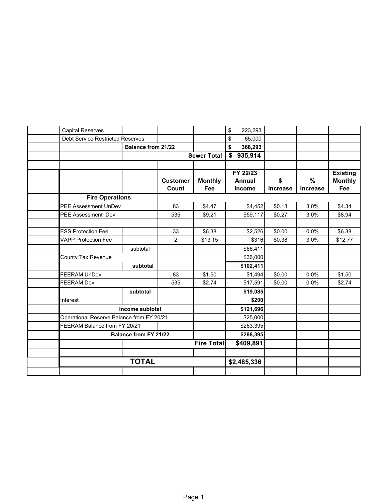| <b>Capital Reserves</b>                   |                              |                 |                    | \$<br>223,293 |                 |                 |                 |
|-------------------------------------------|------------------------------|-----------------|--------------------|---------------|-----------------|-----------------|-----------------|
| <b>Debt Service Restricted Reserves</b>   |                              |                 |                    | \$<br>65,000  |                 |                 |                 |
|                                           | <b>Balance from 21/22</b>    |                 |                    | \$<br>368,293 |                 |                 |                 |
|                                           |                              |                 | <b>Sewer Total</b> | 935,914<br>\$ |                 |                 |                 |
|                                           |                              |                 |                    |               |                 |                 |                 |
|                                           |                              |                 |                    | FY 22/23      |                 |                 | <b>Existing</b> |
|                                           |                              | <b>Customer</b> | <b>Monthly</b>     | <b>Annual</b> | \$              | %               | <b>Monthly</b>  |
|                                           |                              | Count           | Fee                | <b>Income</b> | <b>Increase</b> | <b>Increase</b> | Fee             |
| <b>Fire Operations</b>                    |                              |                 |                    |               |                 |                 |                 |
|                                           | <b>PEE Assessment UnDev</b>  |                 | \$4.47             | \$4,452       | \$0.13          | 3.0%            | \$4.34          |
| <b>PEE Assessment Dev</b>                 |                              | 535             | \$9.21             | \$59,117      | \$0.27          | 3.0%            | \$8.94          |
|                                           |                              |                 |                    |               |                 |                 |                 |
| <b>ESS Protection Fee</b>                 |                              | 33              | \$6.38             | \$2,526       | \$0.00          | 0.0%            | \$6.38          |
| <b>VAPP Protection Fee</b>                |                              | 2               | \$13.15            | \$316         | \$0.38          | 3.0%            | \$12.77         |
|                                           | subtotal                     |                 |                    | \$66,411      |                 |                 |                 |
| County Tax Revenue                        |                              |                 |                    | \$36,000      |                 |                 |                 |
|                                           | subtotal                     |                 |                    | \$102,411     |                 |                 |                 |
| <b>FEERAM UnDev</b>                       |                              | 83              | \$1.50             | \$1,494       | \$0.00          | 0.0%            | \$1.50          |
| <b>FEERAM Dev</b>                         |                              | 535             | \$2.74             | \$17,591      | \$0.00          | 0.0%            | \$2.74          |
|                                           | subtotal                     |                 |                    | \$19,085      |                 |                 |                 |
| Interest                                  |                              |                 |                    | \$200         |                 |                 |                 |
|                                           | Income subtotal              |                 |                    | \$121,696     |                 |                 |                 |
| Operational Reserve Balance from FY 20/21 |                              |                 |                    | \$25,000      |                 |                 |                 |
| FEERAM Balance from FY 20/21              |                              |                 |                    | \$263,395     |                 |                 |                 |
|                                           | <b>Balance from FY 21/22</b> |                 |                    | \$288,395     |                 |                 |                 |
|                                           |                              |                 | <b>Fire Total</b>  | \$409,891     |                 |                 |                 |
|                                           |                              |                 |                    |               |                 |                 |                 |
|                                           | <b>TOTAL</b>                 |                 |                    | \$2,485,336   |                 |                 |                 |
|                                           |                              |                 |                    |               |                 |                 |                 |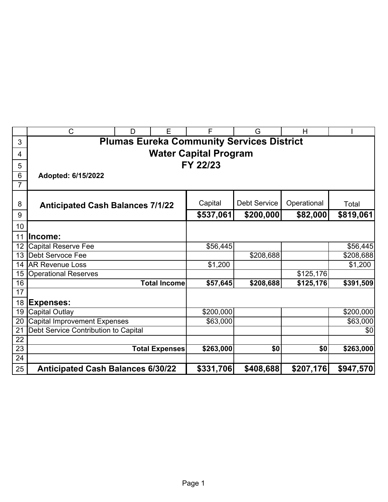|                 | $\mathsf{C}$                             | D                     | E                   | F                            | G                                                | H           |           |  |  |  |  |
|-----------------|------------------------------------------|-----------------------|---------------------|------------------------------|--------------------------------------------------|-------------|-----------|--|--|--|--|
| 3               |                                          |                       |                     |                              | <b>Plumas Eureka Community Services District</b> |             |           |  |  |  |  |
| 4               |                                          |                       |                     | <b>Water Capital Program</b> |                                                  |             |           |  |  |  |  |
| 5               | FY 22/23                                 |                       |                     |                              |                                                  |             |           |  |  |  |  |
| 6               | Adopted: 6/15/2022                       |                       |                     |                              |                                                  |             |           |  |  |  |  |
| $\overline{7}$  |                                          |                       |                     |                              |                                                  |             |           |  |  |  |  |
|                 |                                          |                       |                     |                              |                                                  |             |           |  |  |  |  |
| 8               | <b>Anticipated Cash Balances 7/1/22</b>  |                       |                     | Capital                      | <b>Debt Service</b>                              | Operational | Total     |  |  |  |  |
| 9               |                                          |                       |                     | \$537,061                    | \$200,000                                        | \$82,000    | \$819,061 |  |  |  |  |
| 10              |                                          |                       |                     |                              |                                                  |             |           |  |  |  |  |
| 11              | Income:                                  |                       |                     |                              |                                                  |             |           |  |  |  |  |
| 12              | Capital Reserve Fee                      |                       |                     | \$56,445                     |                                                  |             | \$56,445  |  |  |  |  |
| 13              | Debt Servoce Fee                         |                       |                     |                              | \$208,688                                        |             | \$208,688 |  |  |  |  |
| 14              | <b>AR Revenue Loss</b>                   |                       |                     | \$1,200                      |                                                  |             | \$1,200   |  |  |  |  |
| 15              | <b>Operational Reserves</b>              |                       |                     |                              |                                                  | \$125,176   |           |  |  |  |  |
| 16              |                                          |                       | <b>Total Income</b> | \$57,645                     | \$208,688                                        | \$125,176   | \$391,509 |  |  |  |  |
| $\overline{17}$ |                                          |                       |                     |                              |                                                  |             |           |  |  |  |  |
| 18              | <b>Expenses:</b>                         |                       |                     |                              |                                                  |             |           |  |  |  |  |
| 19              | <b>Capital Outlay</b>                    |                       |                     | \$200,000                    |                                                  |             | \$200,000 |  |  |  |  |
| 20              | <b>Capital Improvement Expenses</b>      |                       |                     | \$63,000                     |                                                  |             | \$63,000  |  |  |  |  |
| 21              | Debt Service Contribution to Capital     |                       |                     |                              |                                                  |             | \$0       |  |  |  |  |
| 22              |                                          |                       |                     |                              |                                                  |             |           |  |  |  |  |
| $\overline{23}$ |                                          | <b>Total Expenses</b> |                     | \$263,000                    | \$0                                              | \$0         | \$263,000 |  |  |  |  |
| $\overline{24}$ |                                          |                       |                     |                              |                                                  |             |           |  |  |  |  |
| 25              | <b>Anticipated Cash Balances 6/30/22</b> |                       |                     | \$331,706                    | \$408,688                                        | \$207,176   | \$947,570 |  |  |  |  |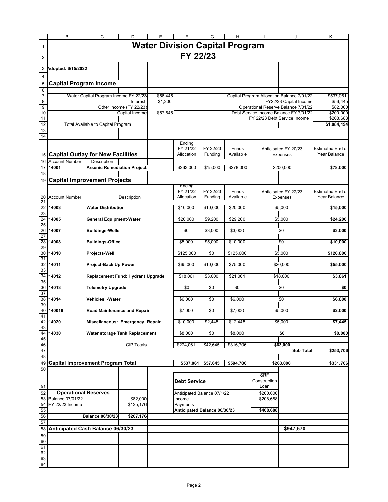|                                          | B                                        | C                                     | D                                   | Ε        | F                                        | G                   | н                         |                      | J                                                             | Κ                                |
|------------------------------------------|------------------------------------------|---------------------------------------|-------------------------------------|----------|------------------------------------------|---------------------|---------------------------|----------------------|---------------------------------------------------------------|----------------------------------|
| $\mathbf{1}$                             |                                          |                                       |                                     |          | <b>Water Division Capital Program</b>    |                     |                           |                      |                                                               |                                  |
| $\overline{c}$                           |                                          |                                       |                                     |          | FY 22/23                                 |                     |                           |                      |                                                               |                                  |
| 3                                        | Adopted: 6/15/2022                       |                                       |                                     |          |                                          |                     |                           |                      |                                                               |                                  |
| 4                                        |                                          |                                       |                                     |          |                                          |                     |                           |                      |                                                               |                                  |
| 5                                        | <b>Capital Program Income</b>            |                                       |                                     |          |                                          |                     |                           |                      |                                                               |                                  |
| 6                                        |                                          |                                       |                                     |          |                                          |                     |                           |                      |                                                               |                                  |
| 7                                        |                                          | Water Capital Program Income FY 22/23 |                                     | \$56,445 |                                          |                     |                           |                      | Capital Program Allocation Balance 7/01/22                    | \$537,061                        |
| 8                                        |                                          |                                       | Interest<br>Other Income (FY 22/23) | \$1,200  |                                          |                     |                           |                      | FY22/23 Capital Income<br>Operational Reserve Balance 7/01/22 | \$56,445<br>\$82,000             |
| 9<br>10                                  |                                          |                                       | Capital Income                      | \$57,645 |                                          |                     |                           |                      | Debt Service Income Balance FY 7/01/22                        | \$200,000                        |
| 11                                       |                                          |                                       |                                     |          |                                          |                     |                           |                      | FY 22/23 Debt Service Income                                  | \$208,688                        |
| 12                                       |                                          | Total Available to Capital Program    |                                     |          |                                          |                     |                           |                      |                                                               | \$1,084,194                      |
| 13                                       |                                          |                                       |                                     |          |                                          |                     |                           |                      |                                                               |                                  |
| 14                                       |                                          |                                       |                                     |          |                                          |                     |                           |                      |                                                               |                                  |
|                                          |                                          |                                       |                                     |          | Ending<br>FY 21/22                       | FY 22/23            | Funds                     |                      |                                                               | Estimated End of                 |
|                                          | 15 Capital Outlay for New Facilities     |                                       |                                     |          | Allocation                               | Funding             | Available                 |                      | Anticipated FY 20/23<br>Expenses                              | Year Balance                     |
| 16                                       | <b>Account Number</b>                    | Description                           |                                     |          |                                          |                     |                           |                      |                                                               |                                  |
| 17                                       | 14001                                    | <b>Arsenic Remediation Project</b>    |                                     |          | \$263,000                                | \$15,000            | \$278,000                 |                      | \$200,000                                                     | \$78,000                         |
| 18                                       |                                          |                                       |                                     |          |                                          |                     |                           |                      |                                                               |                                  |
|                                          | 19 Capital Improvement Projects          |                                       |                                     |          |                                          |                     |                           |                      |                                                               |                                  |
|                                          |                                          |                                       |                                     |          | Ending                                   |                     |                           |                      |                                                               |                                  |
|                                          | 20 Account Number                        |                                       | Description                         |          | FY 21/22<br>Allocation                   | FY 22/23<br>Funding | <b>Funds</b><br>Available |                      | Anticipated FY 22/23<br>Expenses                              | Estimated End of<br>Year Balance |
| -21<br>$\overline{22}$<br>23             | 14003                                    | <b>Water Distribution</b>             |                                     |          | \$10,000                                 | \$10,000            | \$20,000                  |                      | \$5,000                                                       | \$15,000                         |
| $\overline{24}$                          | 14005                                    | <b>General Equipment-Water</b>        |                                     |          | \$20,000                                 | \$9,200             | \$29,200                  |                      | \$5,000                                                       | \$24,200                         |
| 25<br>$\overline{26}$<br>$\overline{27}$ | 14007                                    | <b>Buildings-Wells</b>                |                                     |          | \$0                                      | \$3,000             | \$3,000                   |                      | \$0                                                           | \$3,000                          |
| 28<br>29                                 | 14008                                    | <b>Buildings-Office</b>               |                                     |          | \$5,000                                  | \$5,000             | \$10,000                  |                      | \$0                                                           | \$10,000                         |
| 30<br>31                                 | 14010                                    | Projects-Well                         |                                     |          | \$125,000                                | \$0                 | \$125,000                 |                      | \$5,000                                                       | \$120,000                        |
| 32<br>33                                 | 14011                                    | Project-Back Up Power                 |                                     |          | \$65,000                                 | \$10,000            | \$75,000                  |                      | \$20,000                                                      | \$55,000                         |
| $\overline{34}$<br>35                    | 14012                                    | Replacement Fund: Hydrant Upgrade     |                                     |          | \$18,061                                 | \$3,000             | \$21,061                  |                      | \$18,000                                                      | \$3,061                          |
| 36<br>$\overline{37}$                    | 14013                                    | <b>Telemetry Upgrade</b>              |                                     |          | \$0                                      | \$0                 | \$0                       |                      | \$0                                                           | \$0                              |
| 38<br>39                                 | 14014                                    | Vehicles - Water                      |                                     |          | \$6,000                                  | \$0                 | \$6.000                   |                      | \$0                                                           | \$6,000                          |
| 40<br>41                                 | 140016                                   | Road Maintenance and Repair           |                                     |          | \$7,000                                  | \$0                 | \$7,000                   |                      | \$5,000                                                       | \$2,000                          |
| 42<br>43                                 | 14020                                    | Miscellaneous: Emergency Repair       |                                     |          | \$10,000                                 | \$2,445             | \$12,445                  |                      | \$5,000                                                       | \$7,445                          |
| 44<br>45                                 | 14030                                    | Water storage Tank Replacement        |                                     |          | \$8,000                                  | \$0                 | \$8,000                   |                      | \$0                                                           | \$8,000                          |
| 46                                       |                                          |                                       | <b>CIP Totals</b>                   |          | \$274,061                                | \$42,645            | \$316,706                 |                      | \$63,000                                                      |                                  |
| 47                                       |                                          |                                       |                                     |          |                                          |                     |                           |                      | <b>Sub Total</b>                                              | \$253,706                        |
| 48                                       |                                          |                                       |                                     |          |                                          |                     |                           |                      |                                                               |                                  |
| 49<br>50                                 | <b>Capital Improvement Program Total</b> |                                       |                                     |          | \$537,061                                | \$57,645            | \$594,706                 |                      | \$263,000                                                     | \$331,706                        |
|                                          |                                          |                                       |                                     |          |                                          |                     |                           | <b>SRF</b>           |                                                               |                                  |
| 51                                       |                                          |                                       |                                     |          | <b>Debt Service</b>                      |                     |                           | Construction<br>Loan |                                                               |                                  |
| 52                                       | <b>Operational Reserves</b>              |                                       |                                     |          | Anticipated Balance 07/1/22              |                     |                           | \$200,000            |                                                               |                                  |
|                                          | 53 Balance 07/01/22                      |                                       | \$82,000                            |          | Income                                   |                     |                           | \$208,688            |                                                               |                                  |
| 54<br>55                                 | FY 22/23 Income                          |                                       | \$125,176                           |          | Payments<br>Anticipated Balance 06/30/23 |                     |                           |                      |                                                               |                                  |
| 56                                       |                                          | <b>Balance 06/30/23</b>               | \$207,176                           |          |                                          |                     |                           | \$408,688            |                                                               |                                  |
| 57                                       |                                          |                                       |                                     |          |                                          |                     |                           |                      |                                                               |                                  |
| 58                                       | Anticipated Cash Balance 06/30/23        |                                       |                                     |          |                                          |                     |                           |                      | \$947,570                                                     |                                  |
| 59                                       |                                          |                                       |                                     |          |                                          |                     |                           |                      |                                                               |                                  |
| 60                                       |                                          |                                       |                                     |          |                                          |                     |                           |                      |                                                               |                                  |
| 61<br>62                                 |                                          |                                       |                                     |          |                                          |                     |                           |                      |                                                               |                                  |
| 63                                       |                                          |                                       |                                     |          |                                          |                     |                           |                      |                                                               |                                  |
| 64                                       |                                          |                                       |                                     |          |                                          |                     |                           |                      |                                                               |                                  |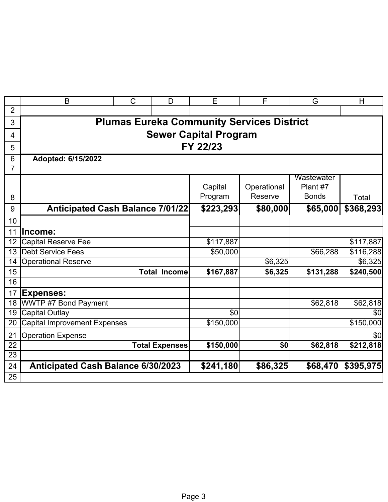|                 | B                                         | $\mathsf C$           | D                   | E                                                | F           | G            | H         |  |  |  |  |
|-----------------|-------------------------------------------|-----------------------|---------------------|--------------------------------------------------|-------------|--------------|-----------|--|--|--|--|
| $\overline{2}$  |                                           |                       |                     |                                                  |             |              |           |  |  |  |  |
| 3               |                                           |                       |                     | <b>Plumas Eureka Community Services District</b> |             |              |           |  |  |  |  |
| 4               | <b>Sewer Capital Program</b>              |                       |                     |                                                  |             |              |           |  |  |  |  |
| 5               | FY 22/23                                  |                       |                     |                                                  |             |              |           |  |  |  |  |
| 6               | Adopted: 6/15/2022                        |                       |                     |                                                  |             |              |           |  |  |  |  |
| 7               |                                           |                       |                     |                                                  |             |              |           |  |  |  |  |
|                 |                                           |                       |                     |                                                  |             | Wastewater   |           |  |  |  |  |
|                 |                                           |                       |                     | Capital                                          | Operational | Plant #7     |           |  |  |  |  |
| 8               |                                           |                       |                     | Program                                          | Reserve     | <b>Bonds</b> | Total     |  |  |  |  |
| 9               | <b>Anticipated Cash Balance 7/01/22</b>   |                       |                     | \$223,293                                        | \$80,000    | \$65,000     | \$368,293 |  |  |  |  |
| 10              |                                           |                       |                     |                                                  |             |              |           |  |  |  |  |
| 11              | lncome:                                   |                       |                     |                                                  |             |              |           |  |  |  |  |
| 12              | <b>Capital Reserve Fee</b>                |                       |                     | \$117,887                                        |             |              | \$117,887 |  |  |  |  |
| 13 <sup>2</sup> | <b>Debt Service Fees</b>                  |                       |                     | \$50,000                                         |             | \$66,288     | \$116,288 |  |  |  |  |
| 14              | <b>Operational Reserve</b>                |                       |                     |                                                  | \$6,325     |              | \$6,325   |  |  |  |  |
| 15              |                                           |                       | <b>Total Income</b> | \$167,887                                        | \$6,325     | \$131,288    | \$240,500 |  |  |  |  |
| 16              |                                           |                       |                     |                                                  |             |              |           |  |  |  |  |
| 17              | <b>Expenses:</b>                          |                       |                     |                                                  |             |              |           |  |  |  |  |
| 18              | <b>WWTP #7 Bond Payment</b>               |                       |                     |                                                  |             | \$62,818     | \$62,818  |  |  |  |  |
| 19              | <b>Capital Outlay</b>                     |                       |                     | \$0                                              |             |              | \$0       |  |  |  |  |
| 20              | Capital Improvement Expenses              |                       |                     | \$150,000                                        |             |              | \$150,000 |  |  |  |  |
| 21              | <b>Operation Expense</b>                  |                       |                     |                                                  |             |              | \$0       |  |  |  |  |
| 22              |                                           | <b>Total Expenses</b> |                     | \$150,000                                        | \$0         | \$62,818     | \$212,818 |  |  |  |  |
| $\overline{23}$ |                                           |                       |                     |                                                  |             |              |           |  |  |  |  |
| 24              | <b>Anticipated Cash Balance 6/30/2023</b> |                       |                     | \$241,180                                        | \$86,325    | \$68,470     | \$395,975 |  |  |  |  |
| $\overline{25}$ |                                           |                       |                     |                                                  |             |              |           |  |  |  |  |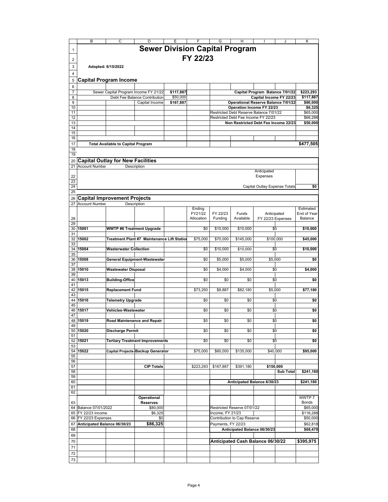|                | B                            | C                                         | D                                          |           | F          | G                  | Н                                                                              |                                 | J                 | Κ                      |
|----------------|------------------------------|-------------------------------------------|--------------------------------------------|-----------|------------|--------------------|--------------------------------------------------------------------------------|---------------------------------|-------------------|------------------------|
|                |                              |                                           | <b>Sewer Division Capital Program</b>      |           |            |                    |                                                                                |                                 |                   |                        |
| 1              |                              |                                           |                                            |           |            |                    |                                                                                |                                 |                   |                        |
| 2              |                              |                                           |                                            |           | FY 22/23   |                    |                                                                                |                                 |                   |                        |
| 3              |                              | Adopted: 6/15/2022                        |                                            |           |            |                    |                                                                                |                                 |                   |                        |
|                |                              |                                           |                                            |           |            |                    |                                                                                |                                 |                   |                        |
| $\overline{4}$ |                              |                                           |                                            |           |            |                    |                                                                                |                                 |                   |                        |
| 5              |                              | <b>Capital Program Income</b>             |                                            |           |            |                    |                                                                                |                                 |                   |                        |
| 6              |                              |                                           |                                            |           |            |                    |                                                                                |                                 |                   |                        |
| 7              |                              |                                           | Sewer Capital Program Income FY 21/22      | \$117,887 |            |                    |                                                                                | Capital Program Balance 7/01/22 |                   | \$223,293              |
| 8              |                              |                                           | Debt Fee Balance Contribution              | \$50,000  |            |                    |                                                                                | Capital Income FY 22/23         |                   | \$117,887              |
| 9              |                              |                                           | Capital Income                             | \$167,887 |            |                    | <b>Operational Reserve Balance 7/01/22</b>                                     |                                 |                   | \$80,000               |
| 10             |                              |                                           |                                            |           |            |                    | Operation Income FY 22/23                                                      |                                 |                   | \$6,325                |
| 11<br>12       |                              |                                           |                                            |           |            |                    | Restricted Debt Reserve Balance 7/01/22<br>Restricted Debt Fee Income FY 22/23 |                                 |                   | \$65,000<br>\$66,288   |
| 13             |                              |                                           |                                            |           |            |                    | Non Restricted Debt Fee Income 22/23                                           |                                 |                   | \$50,000               |
| 14             |                              |                                           |                                            |           |            |                    |                                                                                |                                 |                   |                        |
| 15             |                              |                                           |                                            |           |            |                    |                                                                                |                                 |                   |                        |
| 16             |                              |                                           |                                            |           |            |                    |                                                                                |                                 |                   |                        |
| 17             |                              | <b>Total Available to Capital Program</b> |                                            |           |            |                    |                                                                                |                                 |                   | \$477,505              |
| 18             |                              |                                           |                                            |           |            |                    |                                                                                |                                 |                   |                        |
| 19             |                              |                                           |                                            |           |            |                    |                                                                                |                                 |                   |                        |
| 20             |                              | <b>Capital Outlay for New Facilities</b>  |                                            |           |            |                    |                                                                                |                                 |                   |                        |
| 21             | <b>Account Number</b>        |                                           | Description                                |           |            |                    |                                                                                |                                 |                   |                        |
|                |                              |                                           |                                            |           |            |                    |                                                                                | Anticipated                     |                   |                        |
| 22<br>23       |                              |                                           |                                            |           |            |                    |                                                                                | Expenses                        |                   |                        |
| 24             |                              |                                           |                                            |           |            |                    |                                                                                | Capital Outlay Expense Totals   |                   | \$0                    |
| 25             |                              |                                           |                                            |           |            |                    |                                                                                |                                 |                   |                        |
| 26             |                              | <b>Capital Improvement Projects</b>       |                                            |           |            |                    |                                                                                |                                 |                   |                        |
| 27             | <b>Account Number</b>        |                                           | Description                                |           |            |                    |                                                                                |                                 |                   |                        |
|                |                              |                                           |                                            |           | Ending     |                    |                                                                                |                                 |                   | Estimated              |
|                |                              |                                           |                                            |           | FY21/22    | FY 22/23           | Funds                                                                          |                                 | Anticipated       | End of Year            |
| 28             |                              |                                           |                                            |           | Allocation | Funding            | Available                                                                      |                                 | FY 22/23 Expenses | Balance                |
| 29             |                              |                                           |                                            |           |            |                    |                                                                                |                                 |                   |                        |
| 30<br>31       | 15001                        | <b>WWTP #6 Treatment Upgrade</b>          |                                            |           | \$0        | \$10,000           | \$10,000                                                                       |                                 | \$0               | \$10,000               |
| 32             | 15002                        |                                           | Treatment Plant #7 Maintenance Lift Statio |           | \$75,000   | \$70,000           | \$145,000                                                                      | \$100,000                       |                   | \$45,000               |
| 33             |                              |                                           |                                            |           |            |                    |                                                                                |                                 |                   |                        |
| 34             | 15004                        | <b>Wasterwater Collection</b>             |                                            |           | \$0        | \$10,000           | \$10,000                                                                       |                                 | \$0               | \$10,000               |
| 35             |                              |                                           |                                            |           |            |                    |                                                                                |                                 |                   |                        |
| 36             | 15008                        |                                           | General Equipment-Wastewater               |           | \$0        | \$5,000            | \$5,000                                                                        |                                 | \$5,000           | \$0                    |
| 37             |                              |                                           |                                            |           |            |                    |                                                                                |                                 |                   |                        |
| 38<br>39       | 15010                        | Wastewater Disposal                       |                                            |           | \$0        | \$4,000            | \$4,000                                                                        |                                 | \$0               | \$4,000                |
| 40             | 15013                        | <b>Building-Office</b>                    |                                            |           | \$0        | \$0                | \$0                                                                            |                                 | \$0               | \$0                    |
| 41             |                              |                                           |                                            |           |            |                    |                                                                                |                                 |                   |                        |
| 42             | 15015                        | <b>Replacement Fund</b>                   |                                            |           | \$73,293   | \$8,887            | \$82,180                                                                       |                                 | \$5,000           | \$77,180               |
| 43             |                              |                                           |                                            |           |            |                    |                                                                                |                                 |                   |                        |
| 44             | 15016                        | <b>Telemetry Upgrade</b>                  |                                            |           | \$0        | \$0                | \$0                                                                            |                                 | \$0               | \$0                    |
| 45             |                              |                                           |                                            |           |            |                    |                                                                                |                                 |                   |                        |
| 46<br>47       | 15017                        | Vehicles-Wastewater                       |                                            |           | \$0        | \$0                | \$0                                                                            |                                 | \$0               | \$0                    |
|                | 48 15019                     |                                           | Road Maintenance and Repair                |           | \$0        | \$0                | \$0                                                                            |                                 | \$0               | \$0                    |
| 49             |                              |                                           |                                            |           |            |                    |                                                                                |                                 |                   |                        |
|                | 50 15020                     | <b>Discharge Permit</b>                   |                                            |           | \$0        | \$0                | \$0                                                                            |                                 | \$0               | \$0                    |
| 51             |                              |                                           |                                            |           |            |                    |                                                                                |                                 |                   |                        |
| 52             | 15021                        |                                           | <b>Tertiary Treatment Improvements</b>     |           | \$0        | \$0                | \$0                                                                            |                                 | \$0               | \$0                    |
| 53             |                              |                                           |                                            |           |            |                    |                                                                                |                                 |                   |                        |
| 55             | 54 15022                     |                                           | Capital Projects-Backup Generator          |           | \$75,000   | \$60,000           | \$135,000                                                                      |                                 | \$40,000          | \$95,000               |
| 56             |                              |                                           |                                            |           |            |                    |                                                                                |                                 |                   |                        |
| 57             |                              |                                           | <b>CIP Totals</b>                          |           | \$223,293  | \$167,887          | \$391,180                                                                      |                                 | \$150,000         |                        |
| 58             |                              |                                           |                                            |           |            |                    |                                                                                |                                 | <b>Sub Total</b>  | \$241,180              |
| 59             |                              |                                           |                                            |           |            |                    |                                                                                |                                 |                   |                        |
| 60             |                              |                                           |                                            |           |            |                    | Anticipated Balance 6/30/23                                                    |                                 |                   | \$241,180              |
| 61             |                              |                                           |                                            |           |            |                    |                                                                                |                                 |                   |                        |
| 62             |                              |                                           |                                            |           |            |                    |                                                                                |                                 |                   |                        |
| 63             |                              |                                           | <b>Operational</b><br><b>Reserves</b>      |           |            |                    |                                                                                |                                 |                   | WWTP 7<br><b>Bonds</b> |
|                | 64 Balance 07/01/2022        |                                           | \$80,000                                   |           |            |                    | Restricted Reserve 07/01/22                                                    |                                 |                   | \$65,000               |
| 65             | FY 22/23 Income              |                                           | \$6,325                                    |           |            | Income, FY 21/23   |                                                                                |                                 |                   | \$116,288              |
|                | 66 FY 22/23 Expenses         |                                           | \$0                                        |           |            |                    | Contribution to Cap Reserve                                                    |                                 |                   | \$50,000               |
| 67             | Anticipated Balance 06/30/23 |                                           | \$86,325                                   |           |            | Payments, FY 22/23 |                                                                                |                                 |                   | \$62,818               |
| 68             |                              |                                           |                                            |           |            |                    | Anticipated Balance 06/30/23                                                   |                                 |                   | \$68,470               |
| 69             |                              |                                           |                                            |           |            |                    |                                                                                |                                 |                   |                        |
| 70             |                              |                                           |                                            |           |            |                    | Anticipated Cash Balance 06/30/22                                              |                                 |                   | \$395,975              |
| 71             |                              |                                           |                                            |           |            |                    |                                                                                |                                 |                   |                        |
| 72             |                              |                                           |                                            |           |            |                    |                                                                                |                                 |                   |                        |
| 73             |                              |                                           |                                            |           |            |                    |                                                                                |                                 |                   |                        |
|                |                              |                                           |                                            |           |            |                    |                                                                                |                                 |                   |                        |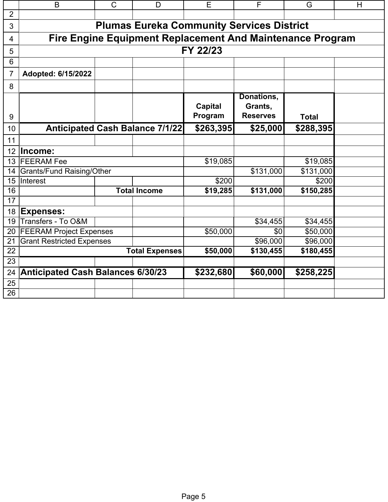|                  | B                                        | $\mathsf{C}$ | D                                                                | E              | F                                                | G            | H |  |  |
|------------------|------------------------------------------|--------------|------------------------------------------------------------------|----------------|--------------------------------------------------|--------------|---|--|--|
| $\overline{2}$   |                                          |              |                                                                  |                |                                                  |              |   |  |  |
| 3                |                                          |              |                                                                  |                | <b>Plumas Eureka Community Services District</b> |              |   |  |  |
| $\overline{4}$   |                                          |              | <b>Fire Engine Equipment Replacement And Maintenance Program</b> |                |                                                  |              |   |  |  |
| 5                |                                          |              |                                                                  | FY 22/23       |                                                  |              |   |  |  |
| 6                |                                          |              |                                                                  |                |                                                  |              |   |  |  |
| 7                | Adopted: 6/15/2022                       |              |                                                                  |                |                                                  |              |   |  |  |
| 8                |                                          |              |                                                                  |                |                                                  |              |   |  |  |
|                  |                                          |              |                                                                  | <b>Capital</b> | Donations,<br>Grants,                            |              |   |  |  |
| 9                |                                          |              |                                                                  | Program        | <b>Reserves</b>                                  | <b>Total</b> |   |  |  |
| 10               |                                          |              | <b>Anticipated Cash Balance 7/1/22</b>                           | \$263,395      | \$25,000                                         | \$288,395    |   |  |  |
| 11               |                                          |              |                                                                  |                |                                                  |              |   |  |  |
| 12               | lncome:                                  |              |                                                                  |                |                                                  |              |   |  |  |
|                  | 13 FEERAM Fee                            |              |                                                                  | \$19,085       |                                                  | \$19,085     |   |  |  |
| 14               | <b>Grants/Fund Raising/Other</b>         |              |                                                                  |                | \$131,000                                        | \$131,000    |   |  |  |
| 15 <sub>15</sub> | Interest                                 |              |                                                                  | \$200          |                                                  | \$200        |   |  |  |
| 16               |                                          |              | <b>Total Income</b>                                              | \$19,285       | \$131,000                                        | \$150,285    |   |  |  |
| 17               |                                          |              |                                                                  |                |                                                  |              |   |  |  |
| 18               | <b>Expenses:</b>                         |              |                                                                  |                |                                                  |              |   |  |  |
| 19               | Transfers - To O&M                       |              |                                                                  |                | \$34,455                                         | \$34,455     |   |  |  |
| 20               | <b>FEERAM Project Expenses</b>           |              |                                                                  | \$50,000       | \$0                                              | \$50,000     |   |  |  |
| 21               | Grant Restricted Expenses                |              |                                                                  |                | \$96,000                                         | \$96,000     |   |  |  |
| 22<br>23         |                                          |              | <b>Total Expenses</b>                                            | \$50,000       | \$130,455                                        | \$180,455    |   |  |  |
|                  |                                          |              |                                                                  |                |                                                  |              |   |  |  |
| 24               | <b>Anticipated Cash Balances 6/30/23</b> |              |                                                                  | \$232,680      | \$60,000                                         | \$258,225    |   |  |  |
| 25               |                                          |              |                                                                  |                |                                                  |              |   |  |  |
| 26               |                                          |              |                                                                  |                |                                                  |              |   |  |  |